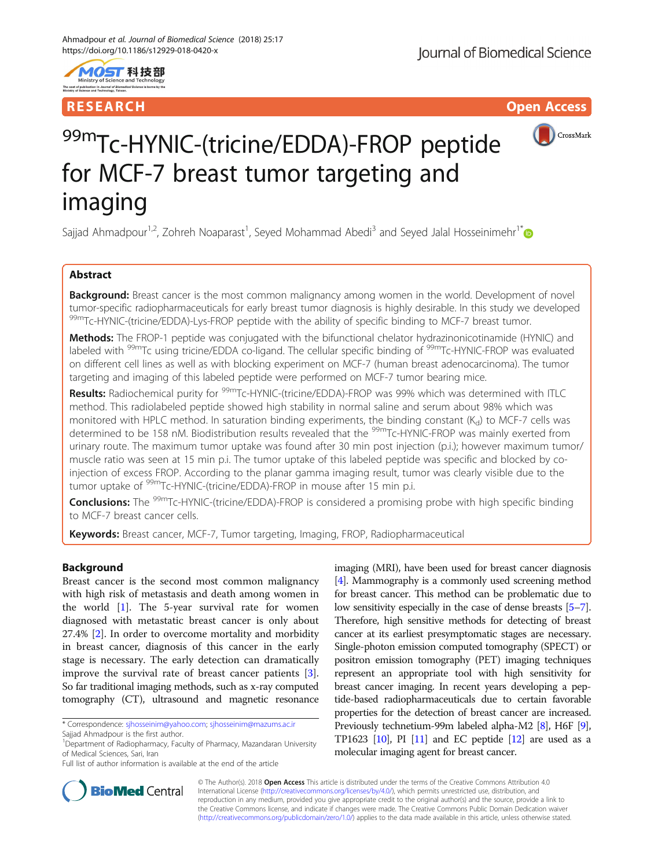

# RESEARCH **RESEARCH International Community Community** Community Community Community Community Community Community



# 99mTc-HYNIC-(tricine/EDDA)-FROP peptide for MCF-7 breast tumor targeting and imaging

Sajjad Ahmadpour<sup>1,2</sup>, Zohreh Noaparast<sup>1</sup>, Seyed Mohammad Abedi<sup>3</sup> and Seyed Jalal Hosseinimehr<sup>1\*</sup>

# Abstract

Background: Breast cancer is the most common malignancy among women in the world. Development of novel tumor-specific radiopharmaceuticals for early breast tumor diagnosis is highly desirable. In this study we developed 99<sup>m</sup>Tc-HYNIC-(tricine/EDDA)-Lys-FROP peptide with the ability of specific binding to MCF-7 breast tumor.

Methods: The FROP-1 peptide was conjugated with the bifunctional chelator hydrazinonicotinamide (HYNIC) and labeled with <sup>99m</sup>Tc using tricine/EDDA co-ligand. The cellular specific binding of <sup>99m</sup>Tc-HYNIC-FROP was evaluated on different cell lines as well as with blocking experiment on MCF-7 (human breast adenocarcinoma). The tumor targeting and imaging of this labeled peptide were performed on MCF-7 tumor bearing mice.

Results: Radiochemical purity for <sup>99m</sup>Tc-HYNIC-(tricine/EDDA)-FROP was 99% which was determined with ITLC method. This radiolabeled peptide showed high stability in normal saline and serum about 98% which was monitored with HPLC method. In saturation binding experiments, the binding constant  $(K_d)$  to MCF-7 cells was determined to be 158 nM. Biodistribution results revealed that the <sup>99m</sup>Tc-HYNIC-FROP was mainly exerted from urinary route. The maximum tumor uptake was found after 30 min post injection (p.i.); however maximum tumor/ muscle ratio was seen at 15 min p.i. The tumor uptake of this labeled peptide was specific and blocked by coinjection of excess FROP. According to the planar gamma imaging result, tumor was clearly visible due to the tumor uptake of 99mTc-HYNIC-(tricine/EDDA)-FROP in mouse after 15 min p.i.

Conclusions: The <sup>99m</sup>Tc-HYNIC-(tricine/EDDA)-FROP is considered a promising probe with high specific binding to MCF-7 breast cancer cells.

Keywords: Breast cancer, MCF-7, Tumor targeting, Imaging, FROP, Radiopharmaceutical

# Background

Breast cancer is the second most common malignancy with high risk of metastasis and death among women in the world [[1\]](#page-9-0). The 5-year survival rate for women diagnosed with metastatic breast cancer is only about 27.4% [[2\]](#page-9-0). In order to overcome mortality and morbidity in breast cancer, diagnosis of this cancer in the early stage is necessary. The early detection can dramatically improve the survival rate of breast cancer patients [\[3](#page-9-0)]. So far traditional imaging methods, such as x-ray computed tomography (CT), ultrasound and magnetic resonance

imaging (MRI), have been used for breast cancer diagnosis [[4](#page-9-0)]. Mammography is a commonly used screening method for breast cancer. This method can be problematic due to low sensitivity especially in the case of dense breasts [\[5](#page-9-0)–[7](#page-9-0)]. Therefore, high sensitive methods for detecting of breast cancer at its earliest presymptomatic stages are necessary. Single-photon emission computed tomography (SPECT) or positron emission tomography (PET) imaging techniques represent an appropriate tool with high sensitivity for breast cancer imaging. In recent years developing a peptide-based radiopharmaceuticals due to certain favorable properties for the detection of breast cancer are increased. Previously technetium-99m labeled alpha-M2 [\[8\]](#page-9-0), H6F [[9](#page-9-0)], TP1623  $[10]$  $[10]$  $[10]$ , PI  $[11]$  and EC peptide  $[12]$  $[12]$  are used as a molecular imaging agent for breast cancer.



© The Author(s). 2018 Open Access This article is distributed under the terms of the Creative Commons Attribution 4.0 International License [\(http://creativecommons.org/licenses/by/4.0/](http://creativecommons.org/licenses/by/4.0/)), which permits unrestricted use, distribution, and reproduction in any medium, provided you give appropriate credit to the original author(s) and the source, provide a link to the Creative Commons license, and indicate if changes were made. The Creative Commons Public Domain Dedication waiver [\(http://creativecommons.org/publicdomain/zero/1.0/](http://creativecommons.org/publicdomain/zero/1.0/)) applies to the data made available in this article, unless otherwise stated.

<sup>\*</sup> Correspondence: [sjhosseinim@yahoo.com;](mailto:sjhosseinim@yahoo.com) [sjhosseinim@mazums.ac.ir](mailto:sjhosseinim@mazums.ac.ir)

Sajjad Ahmadpour is the first author.

<sup>&</sup>lt;sup>1</sup>Department of Radiopharmacy, Faculty of Pharmacy, Mazandaran University of Medical Sciences, Sari, Iran

Full list of author information is available at the end of the article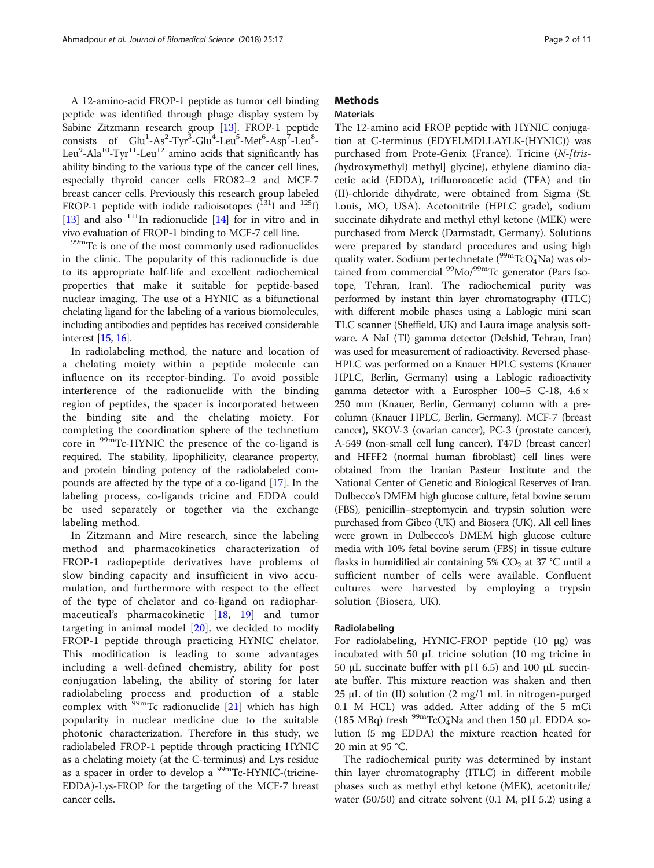A 12-amino-acid FROP-1 peptide as tumor cell binding peptide was identified through phage display system by Sabine Zitzmann research group [\[13\]](#page-9-0). FROP-1 peptide consists of Glu<sup>1</sup>-As<sup>2</sup>-Tyr<sup>3</sup>-Glu<sup>4</sup>-Leu<sup>5</sup>-Met<sup>6</sup>-Asp<sup>7</sup>-Leu<sup>8</sup>-Leu $\rm{^9}$ -Ala $\rm{^{10}}$ -Tyr $\rm{^{11}}$ -Leu $\rm{^{12}}$  amino acids that significantly has ability binding to the various type of the cancer cell lines, especially thyroid cancer cells FRO82–2 and MCF-7 breast cancer cells. Previously this research group labeled FROP-1 peptide with iodide radioisotopes  $(^{131}I$  and  $^{125}I)$ [[13](#page-9-0)] and also <sup>111</sup>In radionuclide [\[14\]](#page-9-0) for in vitro and in vivo evaluation of FROP-1 binding to MCF-7 cell line.<br><sup>99m</sup>Tc is one of the most commonly used radionuclides

in the clinic. The popularity of this radionuclide is due to its appropriate half-life and excellent radiochemical properties that make it suitable for peptide-based nuclear imaging. The use of a HYNIC as a bifunctional chelating ligand for the labeling of a various biomolecules, including antibodies and peptides has received considerable interest [[15](#page-9-0), [16](#page-9-0)].

In radiolabeling method, the nature and location of a chelating moiety within a peptide molecule can influence on its receptor-binding. To avoid possible interference of the radionuclide with the binding region of peptides, the spacer is incorporated between the binding site and the chelating moiety. For completing the coordination sphere of the technetium core in 99mTc-HYNIC the presence of the co-ligand is required. The stability, lipophilicity, clearance property, and protein binding potency of the radiolabeled compounds are affected by the type of a co-ligand [\[17](#page-10-0)]. In the labeling process, co-ligands tricine and EDDA could be used separately or together via the exchange labeling method.

In Zitzmann and Mire research, since the labeling method and pharmacokinetics characterization of FROP-1 radiopeptide derivatives have problems of slow binding capacity and insufficient in vivo accumulation, and furthermore with respect to the effect of the type of chelator and co-ligand on radiopharmaceutical's pharmacokinetic [[18,](#page-10-0) [19\]](#page-10-0) and tumor targeting in animal model  $[20]$  $[20]$ , we decided to modify FROP-1 peptide through practicing HYNIC chelator. This modification is leading to some advantages including a well-defined chemistry, ability for post conjugation labeling, the ability of storing for later radiolabeling process and production of a stable complex with  $99m$ Tc radionuclide [[21\]](#page-10-0) which has high popularity in nuclear medicine due to the suitable photonic characterization. Therefore in this study, we radiolabeled FROP-1 peptide through practicing HYNIC as a chelating moiety (at the C-terminus) and Lys residue as a spacer in order to develop a <sup>99m</sup>Tc-HYNIC-(tricine-EDDA)-Lys-FROP for the targeting of the MCF-7 breast cancer cells.

# **Methods**

## **Materials**

The 12-amino acid FROP peptide with HYNIC conjugation at C-terminus (EDYELMDLLAYLK-(HYNIC)) was purchased from Prote-Genix (France). Tricine (N-[tris-(hydroxymethyl) methyl] glycine), ethylene diamino diacetic acid (EDDA), trifluoroacetic acid (TFA) and tin (II)-chloride dihydrate, were obtained from Sigma (St. Louis, MO, USA). Acetonitrile (HPLC grade), sodium succinate dihydrate and methyl ethyl ketone (MEK) were purchased from Merck (Darmstadt, Germany). Solutions were prepared by standard procedures and using high quality water. Sodium pertechnetate (<sup>99m</sup>TcO<sub>4</sub>Na) was obtained from commercial <sup>99</sup>Mo/<sup>99m</sup>Tc generator (Pars Isotope, Tehran, Iran). The radiochemical purity was performed by instant thin layer chromatography (ITLC) with different mobile phases using a Lablogic mini scan TLC scanner (Sheffield, UK) and Laura image analysis software. A NaI (Tl) gamma detector (Delshid, Tehran, Iran) was used for measurement of radioactivity. Reversed phase-HPLC was performed on a Knauer HPLC systems (Knauer HPLC, Berlin, Germany) using a Lablogic radioactivity gamma detector with a Eurospher  $100-5$  C-18,  $4.6 \times$ 250 mm (Knauer, Berlin, Germany) column with a precolumn (Knauer HPLC, Berlin, Germany). MCF-7 (breast cancer), SKOV-3 (ovarian cancer), PC-3 (prostate cancer), A-549 (non-small cell lung cancer), T47D (breast cancer) and HFFF2 (normal human fibroblast) cell lines were obtained from the Iranian Pasteur Institute and the National Center of Genetic and Biological Reserves of Iran. Dulbecco's DMEM high glucose culture, fetal bovine serum (FBS), penicillin–streptomycin and trypsin solution were purchased from Gibco (UK) and Biosera (UK). All cell lines were grown in Dulbecco's DMEM high glucose culture media with 10% fetal bovine serum (FBS) in tissue culture flasks in humidified air containing 5%  $CO<sub>2</sub>$  at 37 °C until a sufficient number of cells were available. Confluent cultures were harvested by employing a trypsin solution (Biosera, UK).

## Radiolabeling

For radiolabeling, HYNIC-FROP peptide (10 μg) was incubated with 50 μL tricine solution (10 mg tricine in 50 μL succinate buffer with pH 6.5) and 100 μL succinate buffer. This mixture reaction was shaken and then 25 μL of tin (II) solution (2 mg/1 mL in nitrogen-purged 0.1 M HCL) was added. After adding of the 5 mCi (185 MBq) fresh  $\frac{99 \text{m}}{\text{TCO}_4}$ Na and then 150 µL EDDA solution (5 mg EDDA) the mixture reaction heated for 20 min at 95 °C.

The radiochemical purity was determined by instant thin layer chromatography (ITLC) in different mobile phases such as methyl ethyl ketone (MEK), acetonitrile/ water (50/50) and citrate solvent (0.1 M, pH 5.2) using a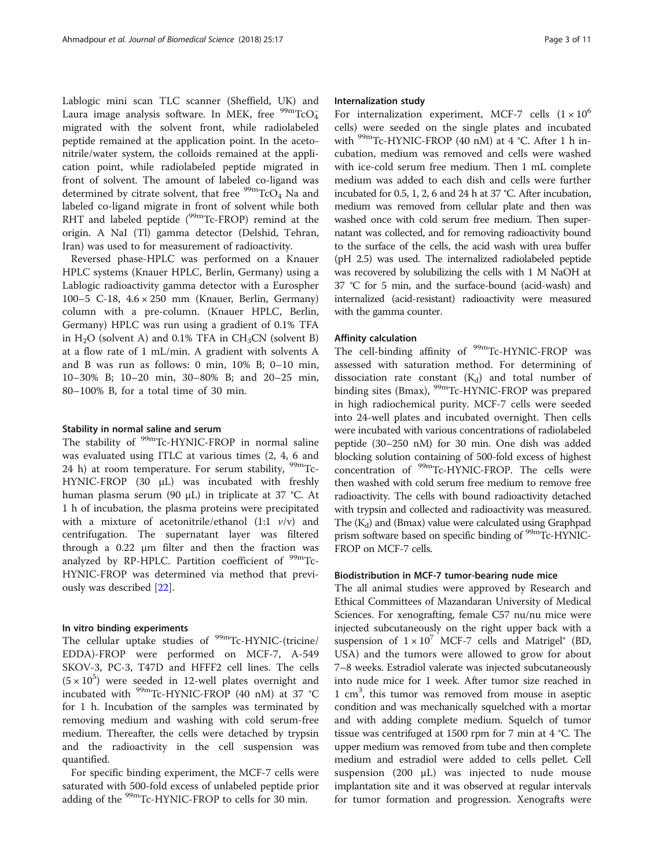Lablogic mini scan TLC scanner (Sheffield, UK) and Laura image analysis software. In MEK, free  $\mathrm{^{99m}TcO_4^-}$ migrated with the solvent front, while radiolabeled peptide remained at the application point. In the acetonitrile/water system, the colloids remained at the application point, while radiolabeled peptide migrated in front of solvent. The amount of labeled co-ligand was determined by citrate solvent, that free  $\frac{99 \text{m}}{\text{TCO}_4}$  Na and labeled co-ligand migrate in front of solvent while both RHT and labeled peptide (<sup>99m</sup>Tc-FROP) remind at the origin. A NaI (Tl) gamma detector (Delshid, Tehran, Iran) was used to for measurement of radioactivity.

Reversed phase-HPLC was performed on a Knauer HPLC systems (Knauer HPLC, Berlin, Germany) using a Lablogic radioactivity gamma detector with a Eurospher 100–5 C-18, 4.6 × 250 mm (Knauer, Berlin, Germany) column with a pre-column. (Knauer HPLC, Berlin, Germany) HPLC was run using a gradient of 0.1% TFA in  $H_2O$  (solvent A) and 0.1% TFA in  $CH_3CN$  (solvent B) at a flow rate of 1 mL/min. A gradient with solvents A and B was run as follows: 0 min, 10% B; 0–10 min, 10–30% B; 10–20 min, 30–80% B; and 20–25 min, 80–100% B, for a total time of 30 min.

#### Stability in normal saline and serum

The stability of <sup>99m</sup>Tc-HYNIC-FROP in normal saline was evaluated using ITLC at various times (2, 4, 6 and 24 h) at room temperature. For serum stability,  $99m$ Tc-HYNIC-FROP (30 μL) was incubated with freshly human plasma serum (90 μL) in triplicate at 37 °C. At 1 h of incubation, the plasma proteins were precipitated with a mixture of acetonitrile/ethanol (1:1  $v/v$ ) and centrifugation. The supernatant layer was filtered through a 0.22 μm filter and then the fraction was analyzed by RP-HPLC. Partition coefficient of  $99m$ Tc-HYNIC-FROP was determined via method that previously was described [[22\]](#page-10-0).

#### In vitro binding experiments

The cellular uptake studies of  $99m$ Tc-HYNIC-(tricine/ EDDA)-FROP were performed on MCF-7, A-549 SKOV-3, PC-3, T47D and HFFF2 cell lines. The cells  $(5 \times 10^5)$  were seeded in 12-well plates overnight and incubated with 99mTc-HYNIC-FROP (40 nM) at 37 °C for 1 h. Incubation of the samples was terminated by removing medium and washing with cold serum-free medium. Thereafter, the cells were detached by trypsin and the radioactivity in the cell suspension was quantified.

For specific binding experiment, the MCF-7 cells were saturated with 500-fold excess of unlabeled peptide prior adding of the <sup>99m</sup>Tc-HYNIC-FROP to cells for 30 min.

## Internalization study

For internalization experiment, MCF-7 cells  $(1 \times 10^6$ cells) were seeded on the single plates and incubated with <sup>99m</sup>Tc-HYNIC-FROP (40 nM) at 4 °C. After 1 h incubation, medium was removed and cells were washed with ice-cold serum free medium. Then 1 mL complete medium was added to each dish and cells were further incubated for 0.5, 1, 2, 6 and 24 h at 37 °C. After incubation, medium was removed from cellular plate and then was washed once with cold serum free medium. Then supernatant was collected, and for removing radioactivity bound to the surface of the cells, the acid wash with urea buffer (pH 2.5) was used. The internalized radiolabeled peptide was recovered by solubilizing the cells with 1 M NaOH at 37 °C for 5 min, and the surface-bound (acid-wash) and internalized (acid-resistant) radioactivity were measured with the gamma counter.

#### Affinity calculation

The cell-binding affinity of <sup>99m</sup>Tc-HYNIC-FROP was assessed with saturation method. For determining of dissociation rate constant  $(K_d)$  and total number of binding sites (Bmax), <sup>99m</sup>Tc-HYNIC-FROP was prepared in high radiochemical purity. MCF-7 cells were seeded into 24-well plates and incubated overnight. Then cells were incubated with various concentrations of radiolabeled peptide (30–250 nM) for 30 min. One dish was added blocking solution containing of 500-fold excess of highest concentration of <sup>99m</sup>Tc-HYNIC-FROP. The cells were then washed with cold serum free medium to remove free radioactivity. The cells with bound radioactivity detached with trypsin and collected and radioactivity was measured. The  $(K_d)$  and (Bmax) value were calculated using Graphpad prism software based on specific binding of <sup>99m</sup>Tc-HYNIC-FROP on MCF-7 cells.

#### Biodistribution in MCF-7 tumor-bearing nude mice

The all animal studies were approved by Research and Ethical Committees of Mazandaran University of Medical Sciences. For xenografting, female C57 nu/nu mice were injected subcutaneously on the right upper back with a suspension of  $1 \times 10^7$  MCF-7 cells and Matrigel® (BD, USA) and the tumors were allowed to grow for about 7–8 weeks. Estradiol valerate was injected subcutaneously into nude mice for 1 week. After tumor size reached in 1 cm3 , this tumor was removed from mouse in aseptic condition and was mechanically squelched with a mortar and with adding complete medium. Squelch of tumor tissue was centrifuged at 1500 rpm for 7 min at 4 °C. The upper medium was removed from tube and then complete medium and estradiol were added to cells pellet. Cell suspension (200 μL) was injected to nude mouse implantation site and it was observed at regular intervals for tumor formation and progression. Xenografts were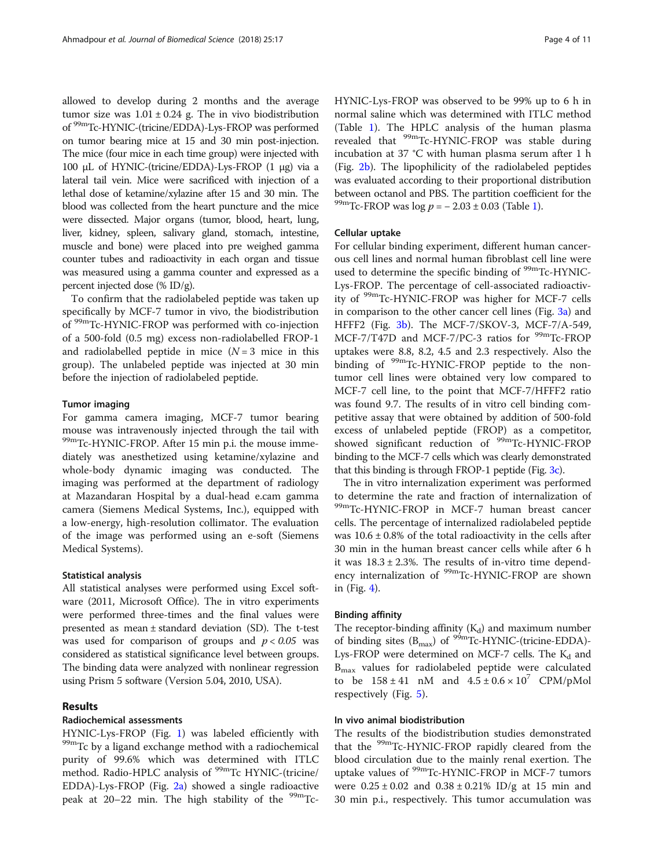allowed to develop during 2 months and the average tumor size was  $1.01 \pm 0.24$  g. The in vivo biodistribution of 99mTc-HYNIC-(tricine/EDDA)-Lys-FROP was performed on tumor bearing mice at 15 and 30 min post-injection. The mice (four mice in each time group) were injected with 100 μL of HYNIC-(tricine/EDDA)-Lys-FROP (1 μg) via a lateral tail vein. Mice were sacrificed with injection of a lethal dose of ketamine/xylazine after 15 and 30 min. The blood was collected from the heart puncture and the mice were dissected. Major organs (tumor, blood, heart, lung, liver, kidney, spleen, salivary gland, stomach, intestine, muscle and bone) were placed into pre weighed gamma counter tubes and radioactivity in each organ and tissue was measured using a gamma counter and expressed as a percent injected dose (% ID/g).

To confirm that the radiolabeled peptide was taken up specifically by MCF-7 tumor in vivo, the biodistribution of 99mTc-HYNIC-FROP was performed with co-injection of a 500-fold (0.5 mg) excess non-radiolabelled FROP-1 and radiolabelled peptide in mice  $(N=3$  mice in this group). The unlabeled peptide was injected at 30 min before the injection of radiolabeled peptide.

#### Tumor imaging

For gamma camera imaging, MCF-7 tumor bearing mouse was intravenously injected through the tail with 99mTc-HYNIC-FROP. After 15 min p.i. the mouse immediately was anesthetized using ketamine/xylazine and whole-body dynamic imaging was conducted. The imaging was performed at the department of radiology at Mazandaran Hospital by a dual-head e.cam gamma camera (Siemens Medical Systems, Inc.), equipped with a low-energy, high-resolution collimator. The evaluation of the image was performed using an e-soft (Siemens Medical Systems).

## Statistical analysis

All statistical analyses were performed using Excel software (2011, Microsoft Office). The in vitro experiments were performed three-times and the final values were presented as mean ± standard deviation (SD). The t-test was used for comparison of groups and  $p < 0.05$  was considered as statistical significance level between groups. The binding data were analyzed with nonlinear regression using Prism 5 software (Version 5.04, 2010, USA).

## Results

## Radiochemical assessments

HYNIC-Lys-FROP (Fig. [1\)](#page-4-0) was labeled efficiently with  $^{99m}$ Tc by a ligand exchange method with a radiochemical purity of 99.6% which was determined with ITLC method. Radio-HPLC analysis of <sup>99m</sup>Tc HYNIC-(tricine/ EDDA)-Lys-FROP (Fig. [2a](#page-5-0)) showed a single radioactive peak at  $20-22$  min. The high stability of the  $99m$ TcHYNIC-Lys-FROP was observed to be 99% up to 6 h in normal saline which was determined with ITLC method (Table [1\)](#page-5-0). The HPLC analysis of the human plasma revealed that <sup>99m</sup>Tc-HYNIC-FROP was stable during incubation at 37 °C with human plasma serum after 1 h (Fig. [2b](#page-5-0)). The lipophilicity of the radiolabeled peptides was evaluated according to their proportional distribution between octanol and PBS. The partition coefficient for the  $^{99m}$ Tc-FROP was log  $p = -2.03 \pm 0.03$  (Table [1\)](#page-5-0).

#### Cellular uptake

For cellular binding experiment, different human cancerous cell lines and normal human fibroblast cell line were used to determine the specific binding of <sup>99m</sup>Tc-HYNIC-Lys-FROP. The percentage of cell-associated radioactivity of 99mTc-HYNIC-FROP was higher for MCF-7 cells in comparison to the other cancer cell lines (Fig. [3a](#page-6-0)) and HFFF2 (Fig. [3b](#page-6-0)). The MCF-7/SKOV-3, MCF-7/A-549, MCF-7/T47D and MCF-7/PC-3 ratios for  $\frac{99 \text{m}}{C}$ -FROP uptakes were 8.8, 8.2, 4.5 and 2.3 respectively. Also the binding of <sup>99m</sup>Tc-HYNIC-FROP peptide to the nontumor cell lines were obtained very low compared to MCF-7 cell line, to the point that MCF-7/HFFF2 ratio was found 9.7. The results of in vitro cell binding competitive assay that were obtained by addition of 500-fold excess of unlabeled peptide (FROP) as a competitor, showed significant reduction of <sup>99m</sup>Tc-HYNIC-FROP binding to the MCF-7 cells which was clearly demonstrated that this binding is through FROP-1 peptide (Fig. [3c\)](#page-6-0).

The in vitro internalization experiment was performed to determine the rate and fraction of internalization of 99mTc-HYNIC-FROP in MCF-7 human breast cancer cells. The percentage of internalized radiolabeled peptide was  $10.6 \pm 0.8\%$  of the total radioactivity in the cells after 30 min in the human breast cancer cells while after 6 h it was  $18.3 \pm 2.3$ %. The results of in-vitro time dependency internalization of <sup>99m</sup>Tc-HYNIC-FROP are shown in (Fig. [4](#page-7-0)).

## Binding affinity

The receptor-binding affinity  $(K_d)$  and maximum number of binding sites  $(B_{\text{max}})$  of <sup>99m</sup>Tc-HYNIC-(tricine-EDDA)-Lys-FROP were determined on MCF-7 cells. The  $K_d$  and B<sub>max</sub> values for radiolabeled peptide were calculated to be  $158 \pm 41$  nM and  $4.5 \pm 0.6 \times 10^7$  CPM/pMol respectively (Fig. [5](#page-7-0)).

## In vivo animal biodistribution

The results of the biodistribution studies demonstrated that the <sup>99m</sup>Tc-HYNIC-FROP rapidly cleared from the blood circulation due to the mainly renal exertion. The uptake values of <sup>99m</sup>Tc-HYNIC-FROP in MCF-7 tumors were  $0.25 \pm 0.02$  and  $0.38 \pm 0.21\%$  ID/g at 15 min and 30 min p.i., respectively. This tumor accumulation was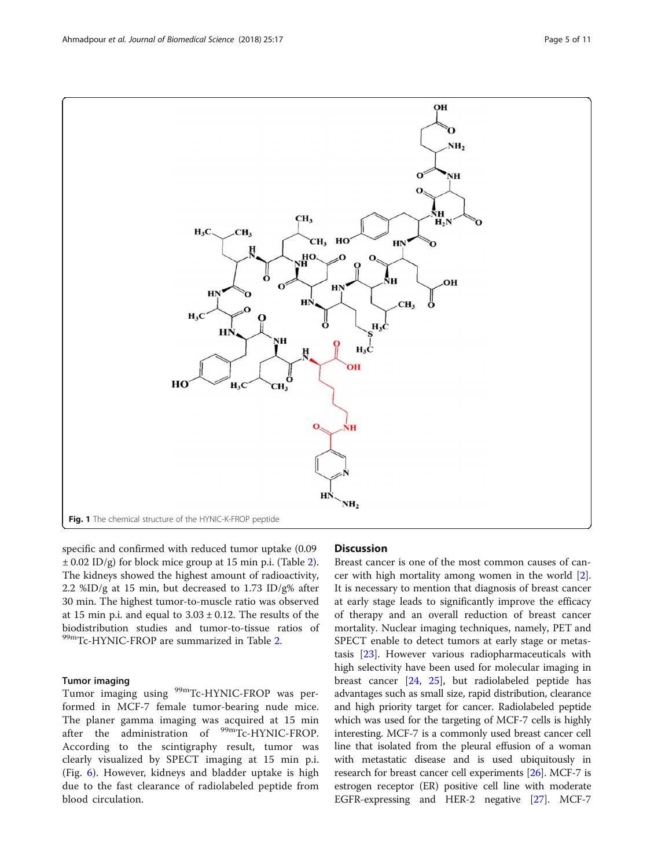<span id="page-4-0"></span>

specific and confirmed with reduced tumor uptake (0.09 ± 0.02 ID/g) for block mice group at 15 min p.i. (Table [2](#page-8-0)). The kidneys showed the highest amount of radioactivity, 2.2 %ID/g at 15 min, but decreased to 1.73 ID/g% after 30 min. The highest tumor-to-muscle ratio was observed at 15 min p.i. and equal to  $3.03 \pm 0.12$ . The results of the biodistribution studies and tumor-to-tissue ratios of 99mTc-HYNIC-FROP are summarized in Table [2.](#page-8-0)

#### Tumor imaging

Tumor imaging using <sup>99m</sup>Tc-HYNIC-FROP was performed in MCF-7 female tumor-bearing nude mice. The planer gamma imaging was acquired at 15 min after the administration of <sup>99m</sup>Tc-HYNIC-FROP. According to the scintigraphy result, tumor was clearly visualized by SPECT imaging at 15 min p.i. (Fig. [6](#page-8-0)). However, kidneys and bladder uptake is high due to the fast clearance of radiolabeled peptide from blood circulation.

## **Discussion**

Breast cancer is one of the most common causes of cancer with high mortality among women in the world [\[2](#page-9-0)]. It is necessary to mention that diagnosis of breast cancer at early stage leads to significantly improve the efficacy of therapy and an overall reduction of breast cancer mortality. Nuclear imaging techniques, namely, PET and SPECT enable to detect tumors at early stage or metastasis [[23\]](#page-10-0). However various radiopharmaceuticals with high selectivity have been used for molecular imaging in breast cancer [\[24](#page-10-0), [25](#page-10-0)], but radiolabeled peptide has advantages such as small size, rapid distribution, clearance and high priority target for cancer. Radiolabeled peptide which was used for the targeting of MCF-7 cells is highly interesting. MCF-7 is a commonly used breast cancer cell line that isolated from the pleural effusion of a woman with metastatic disease and is used ubiquitously in research for breast cancer cell experiments [[26](#page-10-0)]. MCF-7 is estrogen receptor (ER) positive cell line with moderate EGFR-expressing and HER-2 negative [\[27\]](#page-10-0). MCF-7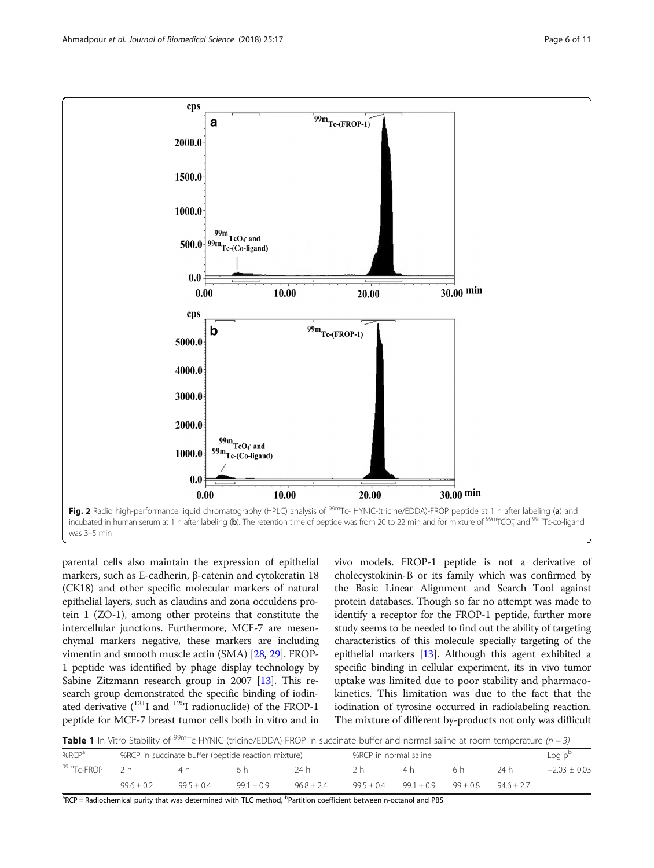<span id="page-5-0"></span>

parental cells also maintain the expression of epithelial markers, such as E-cadherin, β-catenin and cytokeratin 18 (CK18) and other specific molecular markers of natural epithelial layers, such as claudins and zona occuldens protein 1 (ZO-1), among other proteins that constitute the intercellular junctions. Furthermore, MCF-7 are mesenchymal markers negative, these markers are including vimentin and smooth muscle actin (SMA) [\[28,](#page-10-0) [29](#page-10-0)]. FROP-1 peptide was identified by phage display technology by Sabine Zitzmann research group in 2007 [\[13\]](#page-9-0). This research group demonstrated the specific binding of iodinated derivative  $(^{131}I$  and  $^{125}I$  radionuclide) of the FROP-1 peptide for MCF-7 breast tumor cells both in vitro and in

vivo models. FROP-1 peptide is not a derivative of cholecystokinin-B or its family which was confirmed by the Basic Linear Alignment and Search Tool against protein databases. Though so far no attempt was made to identify a receptor for the FROP-1 peptide, further more study seems to be needed to find out the ability of targeting characteristics of this molecule specially targeting of the epithelial markers [\[13\]](#page-9-0). Although this agent exhibited a specific binding in cellular experiment, its in vivo tumor uptake was limited due to poor stability and pharmacokinetics. This limitation was due to the fact that the iodination of tyrosine occurred in radiolabeling reaction. The mixture of different by-products not only was difficult

**Table 1** In Vitro Stability of <sup>99m</sup>Tc-HYNIC-(tricine/EDDA)-FROP in succinate buffer and normal saline at room temperature (n = 3)

| $%$ RC $P$ <sup>a</sup> |                | %RCP in succinate buffer (peptide reaction mixture) |              |              |              | %RCP in normal saline |            |              | Log p <sup>t</sup> |
|-------------------------|----------------|-----------------------------------------------------|--------------|--------------|--------------|-----------------------|------------|--------------|--------------------|
| 99m <sub>TC-FROP</sub>  |                |                                                     |              | 24 h         |              | 4 h                   | 6 h        | 74 h         | $-2.03 + 0.03$     |
|                         | $99.6 \pm 0.2$ | $99.5 + 0.4$                                        | $99.1 + 0.9$ | $96.8 + 2.4$ | $99.5 + 0.4$ | $99.1 \pm 0.9$        | $99 + 0.8$ | $94.6 + 2.7$ |                    |

<sup>a</sup>RCP = Radiochemical purity that was determined with TLC method, <sup>b</sup>Partition coefficient between n-octanol and PBS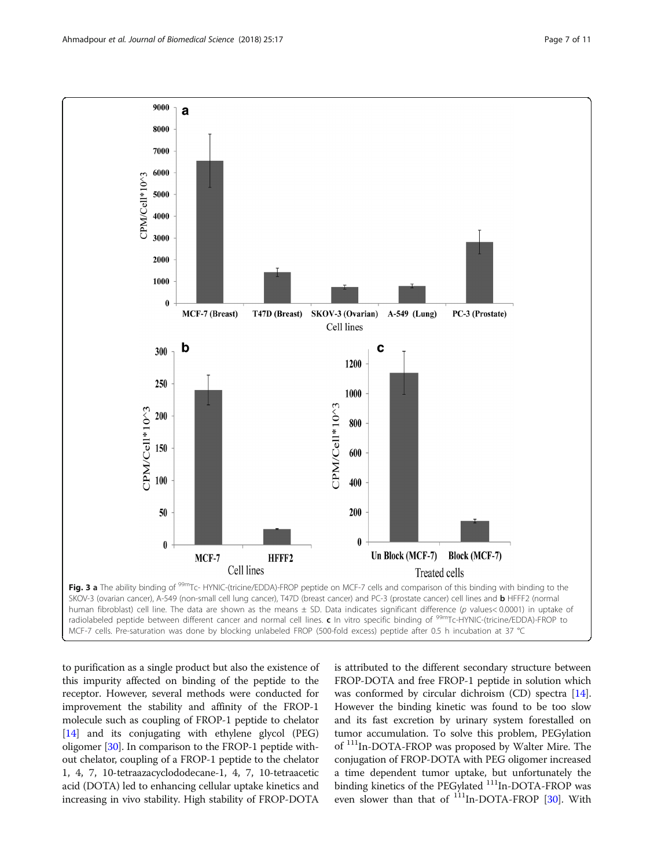<span id="page-6-0"></span>

to purification as a single product but also the existence of this impurity affected on binding of the peptide to the receptor. However, several methods were conducted for improvement the stability and affinity of the FROP-1 molecule such as coupling of FROP-1 peptide to chelator [[14](#page-9-0)] and its conjugating with ethylene glycol (PEG) oligomer [\[30\]](#page-10-0). In comparison to the FROP-1 peptide without chelator, coupling of a FROP-1 peptide to the chelator 1, 4, 7, 10-tetraazacyclododecane-1, 4, 7, 10-tetraacetic acid (DOTA) led to enhancing cellular uptake kinetics and increasing in vivo stability. High stability of FROP-DOTA

is attributed to the different secondary structure between FROP-DOTA and free FROP-1 peptide in solution which was conformed by circular dichroism (CD) spectra [[14](#page-9-0)]. However the binding kinetic was found to be too slow and its fast excretion by urinary system forestalled on tumor accumulation. To solve this problem, PEGylation of 111In-DOTA-FROP was proposed by Walter Mire. The conjugation of FROP-DOTA with PEG oligomer increased a time dependent tumor uptake, but unfortunately the binding kinetics of the PEGylated <sup>111</sup>In-DOTA-FROP was even slower than that of <sup>111</sup>In-DOTA-FROP [[30](#page-10-0)]. With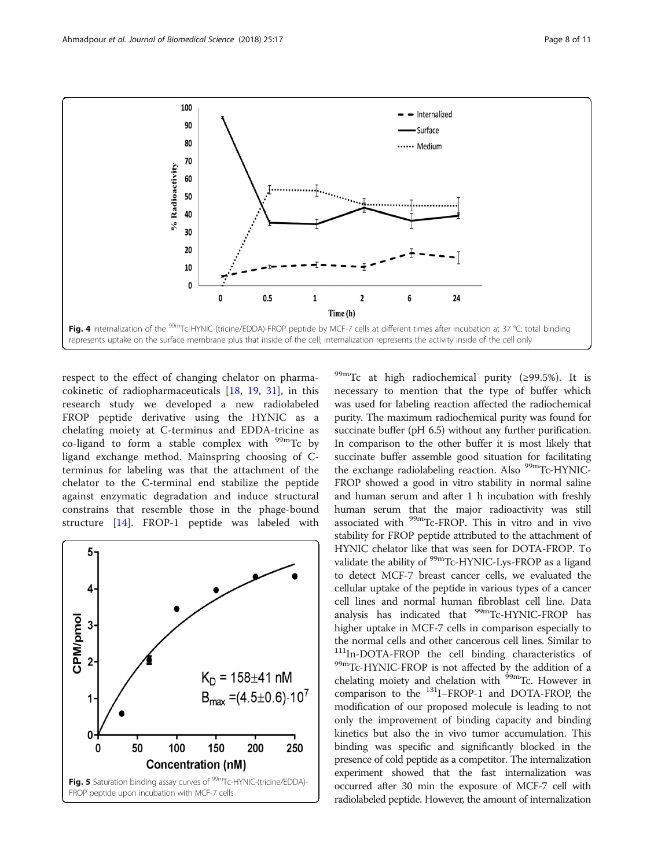<span id="page-7-0"></span>

respect to the effect of changing chelator on pharmacokinetic of radiopharmaceuticals [[18,](#page-10-0) [19,](#page-10-0) [31\]](#page-10-0), in this research study we developed a new radiolabeled FROP peptide derivative using the HYNIC as a chelating moiety at C-terminus and EDDA-tricine as co-ligand to form a stable complex with  $99m$ Tc by ligand exchange method. Mainspring choosing of Cterminus for labeling was that the attachment of the chelator to the C-terminal end stabilize the peptide against enzymatic degradation and induce structural constrains that resemble those in the phage-bound structure [[14](#page-9-0)]. FROP-1 peptide was labeled with



 $^{99m}$ Tc at high radiochemical purity (≥99.5%). It is necessary to mention that the type of buffer which was used for labeling reaction affected the radiochemical purity. The maximum radiochemical purity was found for succinate buffer (pH 6.5) without any further purification. In comparison to the other buffer it is most likely that succinate buffer assemble good situation for facilitating the exchange radiolabeling reaction. Also <sup>99m</sup>Tc-HYNIC-FROP showed a good in vitro stability in normal saline and human serum and after 1 h incubation with freshly human serum that the major radioactivity was still associated with <sup>99m</sup>Tc-FROP. This in vitro and in vivo stability for FROP peptide attributed to the attachment of HYNIC chelator like that was seen for DOTA-FROP. To validate the ability of <sup>99m</sup>Tc-HYNIC-Lys-FROP as a ligand to detect MCF-7 breast cancer cells, we evaluated the cellular uptake of the peptide in various types of a cancer cell lines and normal human fibroblast cell line. Data analysis has indicated that <sup>99m</sup>Tc-HYNIC-FROP has higher uptake in MCF-7 cells in comparison especially to the normal cells and other cancerous cell lines. Similar to <sup>111</sup>In-DOTA-FROP the cell binding characteristics of 99mTc-HYNIC-FROP is not affected by the addition of a chelating moiety and chelation with <sup>99m</sup>Tc. However in comparison to the 131I–FROP-1 and DOTA-FROP, the modification of our proposed molecule is leading to not only the improvement of binding capacity and binding kinetics but also the in vivo tumor accumulation. This binding was specific and significantly blocked in the presence of cold peptide as a competitor. The internalization experiment showed that the fast internalization was occurred after 30 min the exposure of MCF-7 cell with radiolabeled peptide. However, the amount of internalization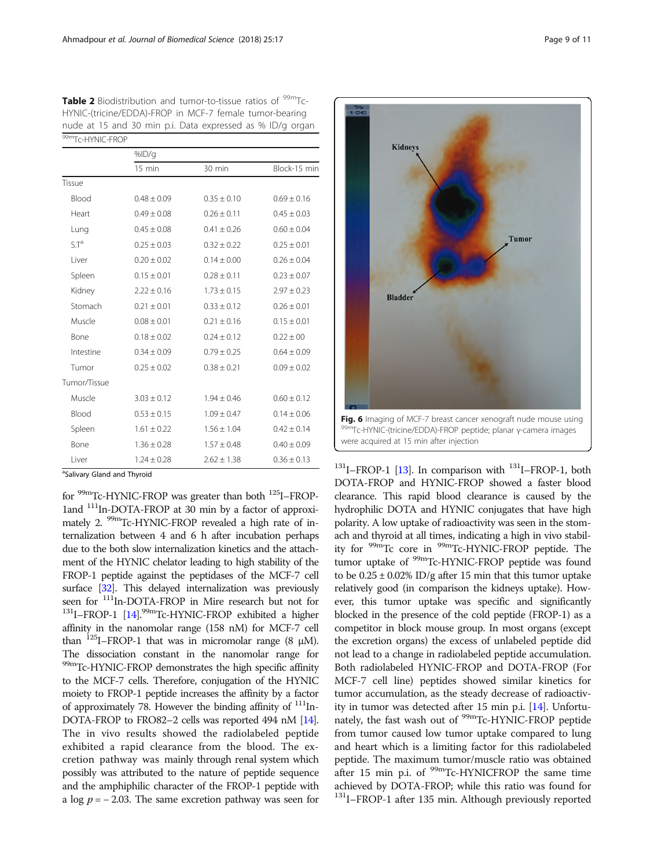<span id="page-8-0"></span>

| Table 2 Biodistribution and tumor-to-tissue ratios of <sup>99m</sup> Tc- |
|--------------------------------------------------------------------------|
| HYNIC-(tricine/EDDA)-FROP in MCF-7 female tumor-bearing                  |
| nude at 15 and 30 min p.i. Data expressed as % ID/g organ                |
| 99mTc-HYNIC-FROP                                                         |

|                  | %ID/g            |                 |                 |  |  |  |  |
|------------------|------------------|-----------------|-----------------|--|--|--|--|
|                  | $15 \text{ min}$ | 30 min          | Block-15 min    |  |  |  |  |
| Tissue           |                  |                 |                 |  |  |  |  |
| Blood            | $0.48 \pm 0.09$  | $0.35 \pm 0.10$ | $0.69 \pm 0.16$ |  |  |  |  |
| Heart            | $0.49 \pm 0.08$  | $0.26 \pm 0.11$ | $0.45 \pm 0.03$ |  |  |  |  |
| Lung             | $0.45 \pm 0.08$  | $0.41 \pm 0.26$ | $0.60 \pm 0.04$ |  |  |  |  |
| S.T <sup>a</sup> | $0.25 \pm 0.03$  | $0.32 \pm 0.22$ | $0.25 \pm 0.01$ |  |  |  |  |
| Liver            | $0.20 \pm 0.02$  | $0.14 \pm 0.00$ | $0.26 \pm 0.04$ |  |  |  |  |
| Spleen           | $0.15 \pm 0.01$  | $0.28 \pm 0.11$ | $0.23 \pm 0.07$ |  |  |  |  |
| Kidney           | $2.22 \pm 0.16$  | $1.73 \pm 0.15$ | $2.97 \pm 0.23$ |  |  |  |  |
| Stomach          | $0.21 \pm 0.01$  | $0.33 \pm 0.12$ | $0.26 \pm 0.01$ |  |  |  |  |
| Muscle           | $0.08 \pm 0.01$  | $0.21 \pm 0.16$ | $0.15 \pm 0.01$ |  |  |  |  |
| Bone             | $0.18 \pm 0.02$  | $0.24 \pm 0.12$ | $0.22 \pm 00$   |  |  |  |  |
| Intestine        | $0.34 \pm 0.09$  | $0.79 \pm 0.25$ | $0.64 \pm 0.09$ |  |  |  |  |
| Tumor            | $0.25 \pm 0.02$  | $0.38 \pm 0.21$ | $0.09 \pm 0.02$ |  |  |  |  |
| Tumor/Tissue     |                  |                 |                 |  |  |  |  |
| Muscle           | $3.03 \pm 0.12$  | $1.94 \pm 0.46$ | $0.60 \pm 0.12$ |  |  |  |  |
| Blood            | $0.53 \pm 0.15$  | $1.09 \pm 0.47$ | $0.14 \pm 0.06$ |  |  |  |  |
| Spleen           | $1.61 \pm 0.22$  | $1.56 \pm 1.04$ | $0.42 \pm 0.14$ |  |  |  |  |
| Bone             | $1.36 \pm 0.28$  | $1.57 \pm 0.48$ | $0.40 \pm 0.09$ |  |  |  |  |
| Liver            | $1.24 \pm 0.28$  | $2.62 \pm 1.38$ | $0.36 \pm 0.13$ |  |  |  |  |

<sup>a</sup>Salivary Gland and Thyroid

for 99mTc-HYNIC-FROP was greater than both 125I–FROP-1and 111In-DOTA-FROP at 30 min by a factor of approximately 2. <sup>99m</sup>Tc-HYNIC-FROP revealed a high rate of internalization between 4 and 6 h after incubation perhaps due to the both slow internalization kinetics and the attachment of the HYNIC chelator leading to high stability of the FROP-1 peptide against the peptidases of the MCF-7 cell surface  $[32]$ . This delayed internalization was previously seen for  $111$ In-DOTA-FROP in Mire research but not for  $131$ I-FROP-1 [\[14](#page-9-0)].<sup>99m</sup>Tc-HYNIC-FROP exhibited a higher affinity in the nanomolar range (158 nM) for MCF-7 cell than  $^{125}$ I–FROP-1 that was in micromolar range (8  $\mu$ M). The dissociation constant in the nanomolar range for 99mTc-HYNIC-FROP demonstrates the high specific affinity to the MCF-7 cells. Therefore, conjugation of the HYNIC moiety to FROP-1 peptide increases the affinity by a factor of approximately 78. However the binding affinity of  $111$ In-DOTA-FROP to FRO82–2 cells was reported 494 nM [\[14](#page-9-0)]. The in vivo results showed the radiolabeled peptide exhibited a rapid clearance from the blood. The excretion pathway was mainly through renal system which possibly was attributed to the nature of peptide sequence and the amphiphilic character of the FROP-1 peptide with a log  $p = -2.03$ . The same excretion pathway was seen for



 $^{131}$ I–FROP-1 [\[13\]](#page-9-0). In comparison with  $^{131}$ I–FROP-1, both DOTA-FROP and HYNIC-FROP showed a faster blood clearance. This rapid blood clearance is caused by the hydrophilic DOTA and HYNIC conjugates that have high polarity. A low uptake of radioactivity was seen in the stomach and thyroid at all times, indicating a high in vivo stability for 99mTc core in 99mTc-HYNIC-FROP peptide. The tumor uptake of <sup>99m</sup>Tc-HYNIC-FROP peptide was found to be  $0.25 \pm 0.02\%$  ID/g after 15 min that this tumor uptake relatively good (in comparison the kidneys uptake). However, this tumor uptake was specific and significantly blocked in the presence of the cold peptide (FROP-1) as a competitor in block mouse group. In most organs (except the excretion organs) the excess of unlabeled peptide did not lead to a change in radiolabeled peptide accumulation. Both radiolabeled HYNIC-FROP and DOTA-FROP (For MCF-7 cell line) peptides showed similar kinetics for tumor accumulation, as the steady decrease of radioactivity in tumor was detected after 15 min p.i. [[14](#page-9-0)]. Unfortunately, the fast wash out of <sup>99m</sup>Tc-HYNIC-FROP peptide from tumor caused low tumor uptake compared to lung and heart which is a limiting factor for this radiolabeled peptide. The maximum tumor/muscle ratio was obtained after 15 min p.i. of <sup>99m</sup>Tc-HYNICFROP the same time achieved by DOTA-FROP; while this ratio was found for <sup>131</sup>I–FROP-1 after 135 min. Although previously reported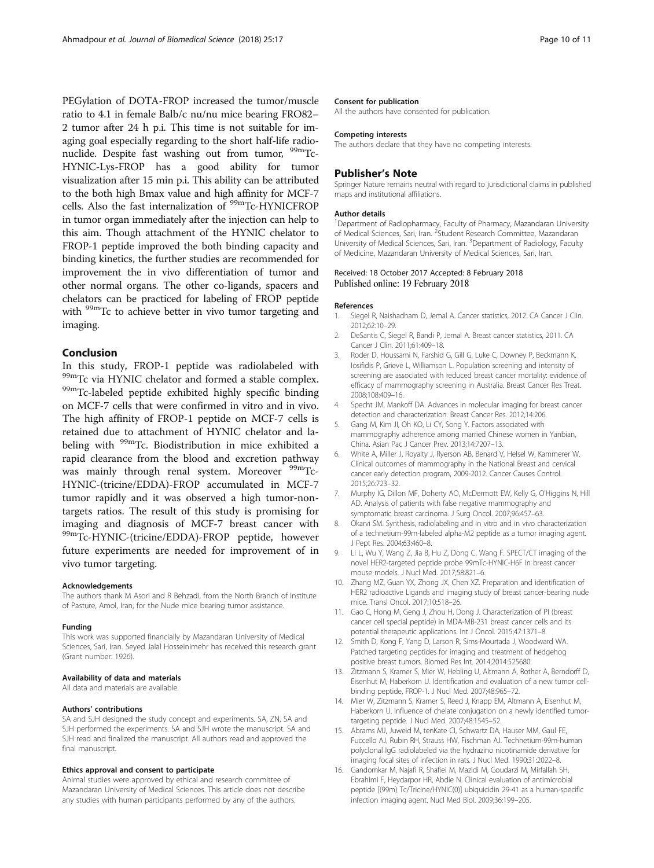<span id="page-9-0"></span>PEGylation of DOTA-FROP increased the tumor/muscle ratio to 4.1 in female Balb/c nu/nu mice bearing FRO82– 2 tumor after 24 h p.i. This time is not suitable for imaging goal especially regarding to the short half-life radionuclide. Despite fast washing out from tumor, <sup>99m</sup>Tc-HYNIC-Lys-FROP has a good ability for tumor visualization after 15 min p.i. This ability can be attributed to the both high Bmax value and high affinity for MCF-7 cells. Also the fast internalization of <sup>99m</sup>Tc-HYNICFROP in tumor organ immediately after the injection can help to this aim. Though attachment of the HYNIC chelator to FROP-1 peptide improved the both binding capacity and binding kinetics, the further studies are recommended for improvement the in vivo differentiation of tumor and other normal organs. The other co-ligands, spacers and chelators can be practiced for labeling of FROP peptide with  $99m$ Tc to achieve better in vivo tumor targeting and imaging.

## Conclusion

In this study, FROP-1 peptide was radiolabeled with  $^{99m}$ Tc via HYNIC chelator and formed a stable complex.<br> $^{99m}$ Tc-labeled peptide exhibited highly specific binding on MCF-7 cells that were confirmed in vitro and in vivo. The high affinity of FROP-1 peptide on MCF-7 cells is retained due to attachment of HYNIC chelator and labeling with <sup>99m</sup>Tc. Biodistribution in mice exhibited a rapid clearance from the blood and excretion pathway was mainly through renal system. Moreover <sup>99m</sup>Tc-HYNIC-(tricine/EDDA)-FROP accumulated in MCF-7 tumor rapidly and it was observed a high tumor-nontargets ratios. The result of this study is promising for imaging and diagnosis of MCF-7 breast cancer with 99mTc-HYNIC-(tricine/EDDA)-FROP peptide, however future experiments are needed for improvement of in vivo tumor targeting.

#### Acknowledgements

The authors thank M Asori and R Behzadi, from the North Branch of Institute of Pasture, Amol, Iran, for the Nude mice bearing tumor assistance.

#### Funding

This work was supported financially by Mazandaran University of Medical Sciences, Sari, Iran. Seyed Jalal Hosseinimehr has received this research grant (Grant number: 1926).

#### Availability of data and materials

All data and materials are available.

#### Authors' contributions

SA and SJH designed the study concept and experiments. SA, ZN, SA and SJH performed the experiments. SA and SJH wrote the manuscript. SA and SJH read and finalized the manuscript. All authors read and approved the final manuscript.

#### Ethics approval and consent to participate

Animal studies were approved by ethical and research committee of Mazandaran University of Medical Sciences. This article does not describe any studies with human participants performed by any of the authors.

#### Consent for publication

All the authors have consented for publication.

#### Competing interests

The authors declare that they have no competing interests.

## Publisher's Note

Springer Nature remains neutral with regard to jurisdictional claims in published maps and institutional affiliations.

#### Author details

<sup>1</sup>Department of Radiopharmacy, Faculty of Pharmacy, Mazandaran University of Medical Sciences, Sari, Iran. <sup>2</sup>Student Research Committee, Mazandaran University of Medical Sciences, Sari, Iran. <sup>3</sup> Department of Radiology, Faculty of Medicine, Mazandaran University of Medical Sciences, Sari, Iran.

#### Received: 18 October 2017 Accepted: 8 February 2018 Published online: 19 February 2018

#### References

- 1. Siegel R, Naishadham D, Jemal A. Cancer statistics, 2012. CA Cancer J Clin. 2012;62:10–29.
- 2. DeSantis C, Siegel R, Bandi P, Jemal A. Breast cancer statistics, 2011. CA Cancer J Clin. 2011;61:409–18.
- 3. Roder D, Houssami N, Farshid G, Gill G, Luke C, Downey P, Beckmann K, Iosifidis P, Grieve L, Williamson L. Population screening and intensity of screening are associated with reduced breast cancer mortality: evidence of efficacy of mammography screening in Australia. Breast Cancer Res Treat. 2008;108:409–16.
- 4. Specht JM, Mankoff DA. Advances in molecular imaging for breast cancer detection and characterization. Breast Cancer Res. 2012;14:206.
- 5. Gang M, Kim JI, Oh KO, Li CY, Song Y. Factors associated with mammography adherence among married Chinese women in Yanbian, China. Asian Pac J Cancer Prev. 2013;14:7207–13.
- 6. White A, Miller J, Royalty J, Ryerson AB, Benard V, Helsel W, Kammerer W. Clinical outcomes of mammography in the National Breast and cervical cancer early detection program, 2009-2012. Cancer Causes Control. 2015;26:723–32.
- 7. Murphy IG, Dillon MF, Doherty AO, McDermott EW, Kelly G, O'Higgins N, Hill AD. Analysis of patients with false negative mammography and symptomatic breast carcinoma. J Surg Oncol. 2007;96:457–63.
- 8. Okarvi SM. Synthesis, radiolabeling and in vitro and in vivo characterization of a technetium-99m-labeled alpha-M2 peptide as a tumor imaging agent. J Pept Res. 2004;63:460–8.
- 9. Li L, Wu Y, Wang Z, Jia B, Hu Z, Dong C, Wang F. SPECT/CT imaging of the novel HER2-targeted peptide probe 99mTc-HYNIC-H6F in breast cancer mouse models. J Nucl Med. 2017;58:821–6.
- 10. Zhang MZ, Guan YX, Zhong JX, Chen XZ. Preparation and identification of HER2 radioactive Ligands and imaging study of breast cancer-bearing nude mice. Transl Oncol. 2017;10:518–26.
- 11. Gao C, Hong M, Geng J, Zhou H, Dong J. Characterization of PI (breast cancer cell special peptide) in MDA-MB-231 breast cancer cells and its potential therapeutic applications. Int J Oncol. 2015;47:1371–8.
- 12. Smith D, Kong F, Yang D, Larson R, Sims-Mourtada J, Woodward WA. Patched targeting peptides for imaging and treatment of hedgehog positive breast tumors. Biomed Res Int. 2014;2014:525680.
- 13. Zitzmann S, Kramer S, Mier W, Hebling U, Altmann A, Rother A, Berndorff D, Eisenhut M, Haberkorn U. Identification and evaluation of a new tumor cellbinding peptide, FROP-1. J Nucl Med. 2007;48:965–72.
- 14. Mier W, Zitzmann S, Kramer S, Reed J, Knapp EM, Altmann A, Eisenhut M, Haberkorn U. Influence of chelate conjugation on a newly identified tumortargeting peptide. J Nucl Med. 2007;48:1545–52.
- 15. Abrams MJ, Juweid M, tenKate CI, Schwartz DA, Hauser MM, Gaul FE, Fuccello AJ, Rubin RH, Strauss HW, Fischman AJ. Technetium-99m-human polyclonal IgG radiolabeled via the hydrazino nicotinamide derivative for imaging focal sites of infection in rats. J Nucl Med. 1990;31:2022–8.
- 16. Gandomkar M, Najafi R, Shafiei M, Mazidi M, Goudarzi M, Mirfallah SH, Ebrahimi F, Heydarpor HR, Abdie N. Clinical evaluation of antimicrobial peptide [(99m) Tc/Tricine/HYNIC(0)] ubiquicidin 29-41 as a human-specific infection imaging agent. Nucl Med Biol. 2009;36:199–205.